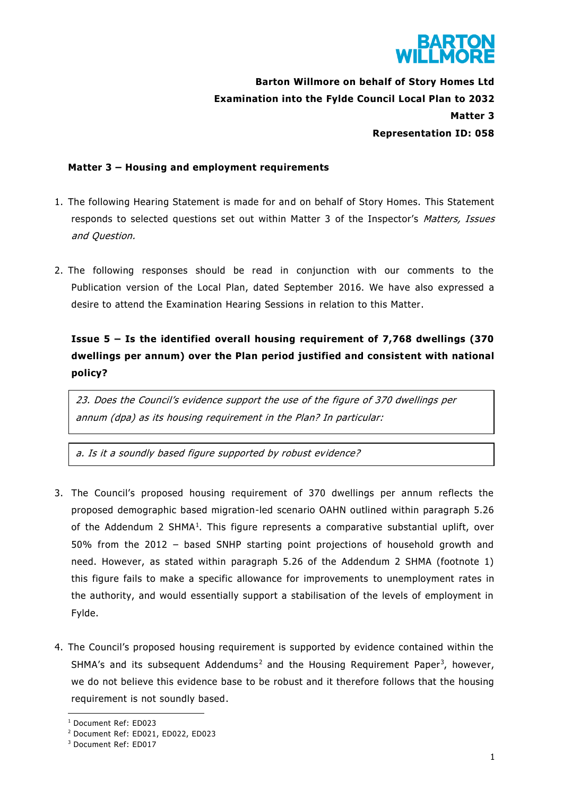

**Barton Willmore on behalf of Story Homes Ltd Examination into the Fylde Council Local Plan to 2032 Matter 3 Representation ID: 058** 

### **Matter 3 – Housing and employment requirements**

- 1. The following Hearing Statement is made for and on behalf of Story Homes. This Statement responds to selected questions set out within Matter 3 of the Inspector's Matters, Issues and Question.
- 2. The following responses should be read in conjunction with our comments to the Publication version of the Local Plan, dated September 2016. We have also expressed a desire to attend the Examination Hearing Sessions in relation to this Matter.

# **Issue 5 – Is the identified overall housing requirement of 7,768 dwellings (370 dwellings per annum) over the Plan period justified and consistent with national policy?**

23. Does the Council's evidence support the use of the figure of 370 dwellings per annum (dpa) as its housing requirement in the Plan? In particular:

a. Is it a soundly based figure supported by robust evidence?

- 3. The Council's proposed housing requirement of 370 dwellings per annum reflects the proposed demographic based migration-led scenario OAHN outlined within paragraph 5.26 of the Addendum 2 SHMA<sup>1</sup>. This figure represents a comparative substantial uplift, over 50% from the 2012 – based SNHP starting point projections of household growth and need. However, as stated within paragraph 5.26 of the Addendum 2 SHMA (footnote 1) this figure fails to make a specific allowance for improvements to unemployment rates in the authority, and would essentially support a stabilisation of the levels of employment in Fylde.
- 4. The Council's proposed housing requirement is supported by evidence contained within the SHMA's and its subsequent Addendums<sup>2</sup> and the Housing Requirement Paper<sup>3</sup>, however, we do not believe this evidence base to be robust and it therefore follows that the housing requirement is not soundly based.

<sup>1</sup> Document Ref: ED023

<sup>2</sup> Document Ref: ED021, ED022, ED023

<sup>3</sup> Document Ref: ED017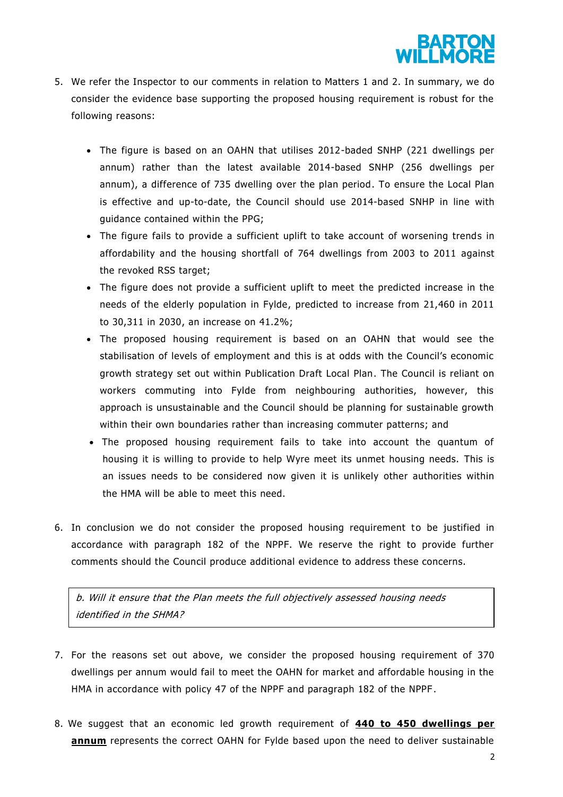

- 5. We refer the Inspector to our comments in relation to Matters 1 and 2. In summary, we do consider the evidence base supporting the proposed housing requirement is robust for the following reasons:
	- The figure is based on an OAHN that utilises 2012-baded SNHP (221 dwellings per annum) rather than the latest available 2014-based SNHP (256 dwellings per annum), a difference of 735 dwelling over the plan period. To ensure the Local Plan is effective and up-to-date, the Council should use 2014-based SNHP in line with guidance contained within the PPG;
	- The figure fails to provide a sufficient uplift to take account of worsening trends in affordability and the housing shortfall of 764 dwellings from 2003 to 2011 against the revoked RSS target;
	- The figure does not provide a sufficient uplift to meet the predicted increase in the needs of the elderly population in Fylde, predicted to increase from 21,460 in 2011 to 30,311 in 2030, an increase on 41.2%;
	- The proposed housing requirement is based on an OAHN that would see the stabilisation of levels of employment and this is at odds with the Council's economic growth strategy set out within Publication Draft Local Plan. The Council is reliant on workers commuting into Fylde from neighbouring authorities, however, this approach is unsustainable and the Council should be planning for sustainable growth within their own boundaries rather than increasing commuter patterns; and
	- The proposed housing requirement fails to take into account the quantum of housing it is willing to provide to help Wyre meet its unmet housing needs. This is an issues needs to be considered now given it is unlikely other authorities within the HMA will be able to meet this need.
- 6. In conclusion we do not consider the proposed housing requirement to be justified in accordance with paragraph 182 of the NPPF. We reserve the right to provide further comments should the Council produce additional evidence to address these concerns.

b. Will it ensure that the Plan meets the full objectively assessed housing needs identified in the SHMA?

- 7. For the reasons set out above, we consider the proposed housing requirement of 370 dwellings per annum would fail to meet the OAHN for market and affordable housing in the HMA in accordance with policy 47 of the NPPF and paragraph 182 of the NPPF.
- 8. We suggest that an economic led growth requirement of **440 to 450 dwellings per annum** represents the correct OAHN for Fylde based upon the need to deliver sustainable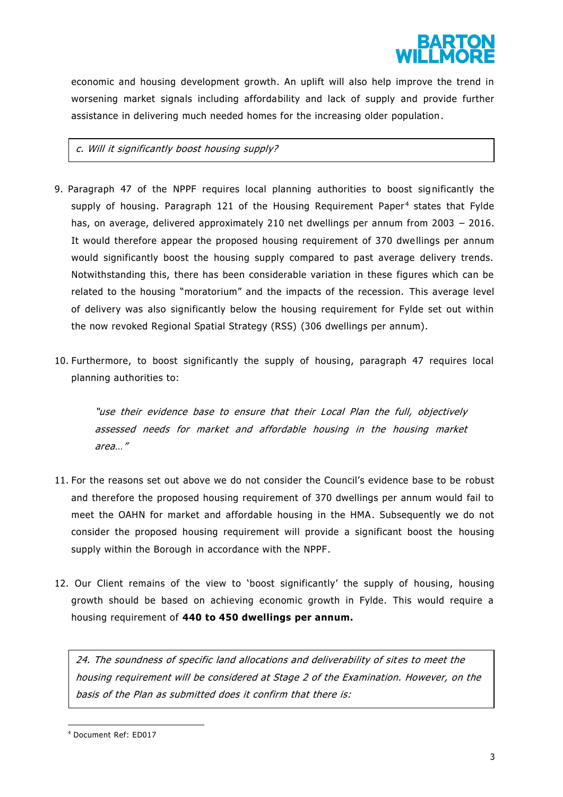

economic and housing development growth. An uplift will also help improve the trend in worsening market signals including affordability and lack of supply and provide further assistance in delivering much needed homes for the increasing older population.

### c. Will it significantly boost housing supply?

- 9. Paragraph 47 of the NPPF requires local planning authorities to boost significantly the supply of housing. Paragraph 121 of the Housing Requirement Paper<sup>4</sup> states that Fylde has, on average, delivered approximately 210 net dwellings per annum from 2003 – 2016. It would therefore appear the proposed housing requirement of 370 dwellings per annum would significantly boost the housing supply compared to past average delivery trends. Notwithstanding this, there has been considerable variation in these figures which can be related to the housing "moratorium" and the impacts of the recession. This average level of delivery was also significantly below the housing requirement for Fylde set out within the now revoked Regional Spatial Strategy (RSS) (306 dwellings per annum).
- 10. Furthermore, to boost significantly the supply of housing, paragraph 47 requires local planning authorities to:

"use their evidence base to ensure that their Local Plan the full, objectively assessed needs for market and affordable housing in the housing market area…"

- 11. For the reasons set out above we do not consider the Council's evidence base to be robust and therefore the proposed housing requirement of 370 dwellings per annum would fail to meet the OAHN for market and affordable housing in the HMA. Subsequently we do not consider the proposed housing requirement will provide a significant boost the housing supply within the Borough in accordance with the NPPF.
- 12. Our Client remains of the view to 'boost significantly' the supply of housing, housing growth should be based on achieving economic growth in Fylde. This would require a housing requirement of **440 to 450 dwellings per annum.**

24. The soundness of specific land allocations and deliverability of sites to meet the housing requirement will be considered at Stage 2 of the Examination. However, on the basis of the Plan as submitted does it confirm that there is:

<sup>4</sup> Document Ref: ED017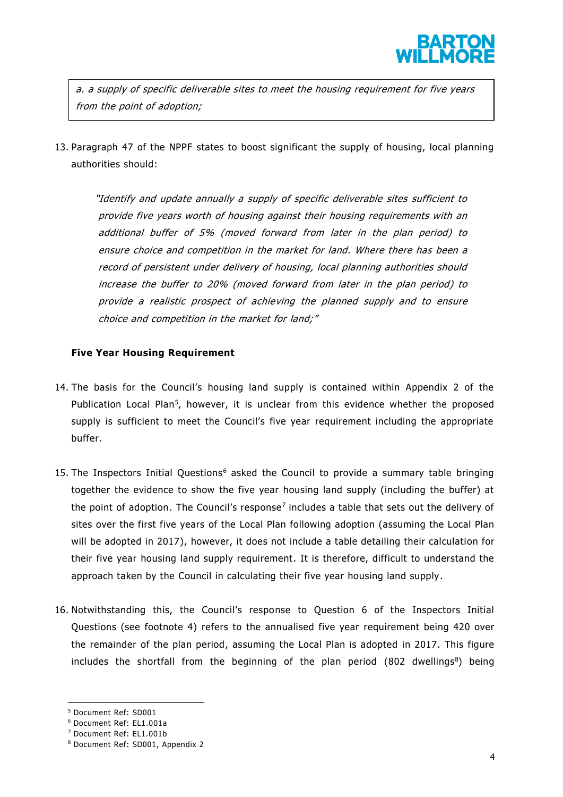

a. a supply of specific deliverable sites to meet the housing requirement for five years from the point of adoption;

13. Paragraph 47 of the NPPF states to boost significant the supply of housing, local planning authorities should:

"Identify and update annually a supply of specific deliverable sites sufficient to provide five years worth of housing against their housing requirements with an additional buffer of 5% (moved forward from later in the plan period) to ensure choice and competition in the market for land. Where there has been a record of persistent under delivery of housing, local planning authorities should increase the buffer to 20% (moved forward from later in the plan period) to provide a realistic prospect of achieving the planned supply and to ensure choice and competition in the market for land;"

### **Five Year Housing Requirement**

- 14. The basis for the Council's housing land supply is contained within Appendix 2 of the Publication Local Plan<sup>5</sup>, however, it is unclear from this evidence whether the proposed supply is sufficient to meet the Council's five year requirement including the appropriate buffer.
- 15. The Inspectors Initial Questions<sup>6</sup> asked the Council to provide a summary table bringing together the evidence to show the five year housing land supply (including the buffer) at the point of adoption. The Council's response<sup>7</sup> includes a table that sets out the delivery of sites over the first five years of the Local Plan following adoption (assuming the Local Plan will be adopted in 2017), however, it does not include a table detailing their calculation for their five year housing land supply requirement. It is therefore, difficult to understand the approach taken by the Council in calculating their five year housing land supply.
- 16. Notwithstanding this, the Council's response to Question 6 of the Inspectors Initial Questions (see footnote 4) refers to the annualised five year requirement being 420 over the remainder of the plan period, assuming the Local Plan is adopted in 2017. This figure includes the shortfall from the beginning of the plan period  $(802 \text{ dwellings}^8)$  being

<sup>5</sup> Document Ref: SD001

<sup>6</sup> Document Ref: EL1.001a

<sup>7</sup> Document Ref: EL1.001b

<sup>8</sup> Document Ref: SD001, Appendix 2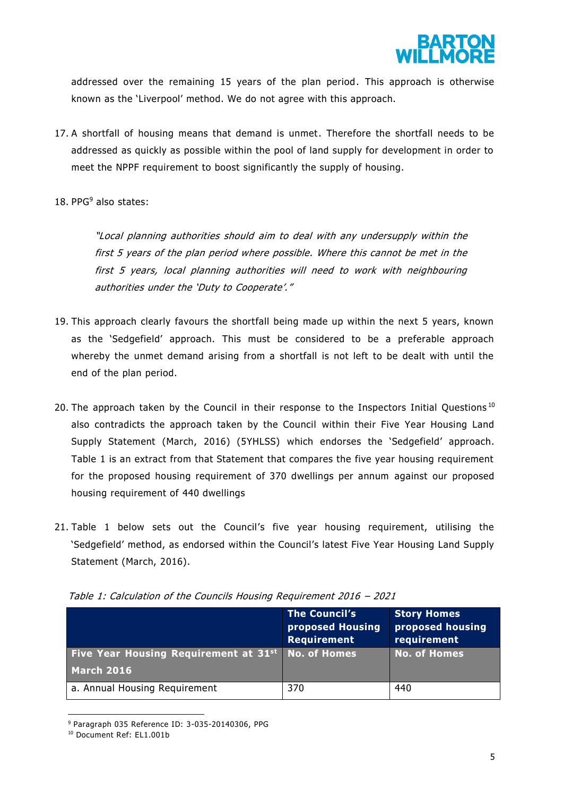

addressed over the remaining 15 years of the plan period. This approach is otherwise known as the 'Liverpool' method. We do not agree with this approach.

- 17. A shortfall of housing means that demand is unmet. Therefore the shortfall needs to be addressed as quickly as possible within the pool of land supply for development in order to meet the NPPF requirement to boost significantly the supply of housing.
- 18. PPG<sup>9</sup> also states:

"Local planning authorities should aim to deal with any undersupply within the first 5 years of the plan period where possible. Where this cannot be met in the first 5 years, local planning authorities will need to work with neighbouring authorities under the 'Duty to Cooperate'."

- 19. This approach clearly favours the shortfall being made up within the next 5 years, known as the 'Sedgefield' approach. This must be considered to be a preferable approach whereby the unmet demand arising from a shortfall is not left to be dealt with until the end of the plan period.
- 20. The approach taken by the Council in their response to the Inspectors Initial Questions<sup>10</sup> also contradicts the approach taken by the Council within their Five Year Housing Land Supply Statement (March, 2016) (5YHLSS) which endorses the 'Sedgefield' approach. Table 1 is an extract from that Statement that compares the five year housing requirement for the proposed housing requirement of 370 dwellings per annum against our proposed housing requirement of 440 dwellings
- 21. Table 1 below sets out the Council's five year housing requirement, utilising the 'Sedgefield' method, as endorsed within the Council's latest Five Year Housing Land Supply Statement (March, 2016).

|                                                   | <b>The Council's</b><br>proposed Housing<br>Requirement | <b>Story Homes</b><br>proposed housing<br>requirement |
|---------------------------------------------------|---------------------------------------------------------|-------------------------------------------------------|
| Five Year Housing Requirement at 31 <sup>st</sup> | <b>No. of Homes</b>                                     | <b>No. of Homes</b>                                   |
| <b>March 2016</b>                                 |                                                         |                                                       |
| a. Annual Housing Requirement                     | 370                                                     | 440                                                   |

Table 1: Calculation of the Councils Housing Requirement 2016 – 2021

<sup>9</sup> Paragraph 035 Reference ID: 3-035-20140306, PPG

<sup>10</sup> Document Ref: EL1.001b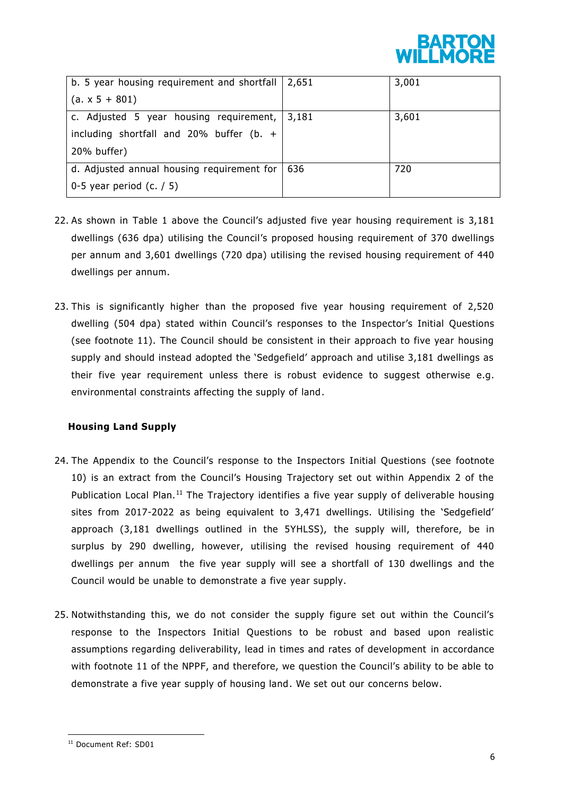

| b. 5 year housing requirement and shortfall $\vert$ 2,651 |       | 3,001 |
|-----------------------------------------------------------|-------|-------|
| $(a. x 5 + 801)$                                          |       |       |
| c. Adjusted 5 year housing requirement,                   | 3,181 | 3,601 |
| including shortfall and 20% buffer (b. $+$                |       |       |
| 20% buffer)                                               |       |       |
| d. Adjusted annual housing requirement for $\vert$        | 636   | 720   |
| 0-5 year period $(c. / 5)$                                |       |       |

- 22. As shown in Table 1 above the Council's adjusted five year housing requirement is 3,181 dwellings (636 dpa) utilising the Council's proposed housing requirement of 370 dwellings per annum and 3,601 dwellings (720 dpa) utilising the revised housing requirement of 440 dwellings per annum.
- 23. This is significantly higher than the proposed five year housing requirement of 2,520 dwelling (504 dpa) stated within Council's responses to the Inspector's Initial Questions (see footnote 11). The Council should be consistent in their approach to five year housing supply and should instead adopted the 'Sedgefield' approach and utilise 3,181 dwellings as their five year requirement unless there is robust evidence to suggest otherwise e.g. environmental constraints affecting the supply of land.

# **Housing Land Supply**

- 24. The Appendix to the Council's response to the Inspectors Initial Questions (see footnote 10) is an extract from the Council's Housing Trajectory set out within Appendix 2 of the Publication Local Plan.<sup>11</sup> The Trajectory identifies a five year supply of deliverable housing sites from 2017-2022 as being equivalent to 3,471 dwellings. Utilising the 'Sedgefield' approach (3,181 dwellings outlined in the 5YHLSS), the supply will, therefore, be in surplus by 290 dwelling, however, utilising the revised housing requirement of 440 dwellings per annum the five year supply will see a shortfall of 130 dwellings and the Council would be unable to demonstrate a five year supply.
- 25. Notwithstanding this, we do not consider the supply figure set out within the Council's response to the Inspectors Initial Questions to be robust and based upon realistic assumptions regarding deliverability, lead in times and rates of development in accordance with footnote 11 of the NPPF, and therefore, we question the Council's ability to be able to demonstrate a five year supply of housing land. We set out our concerns below.

<sup>11</sup> Document Ref: SD01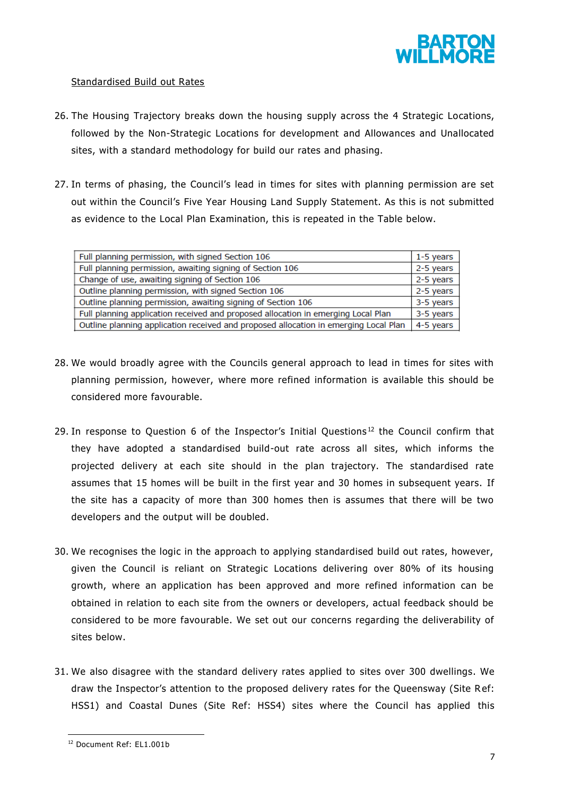

# Standardised Build out Rates

- 26. The Housing Trajectory breaks down the housing supply across the 4 Strategic Locations, followed by the Non-Strategic Locations for development and Allowances and Unallocated sites, with a standard methodology for build our rates and phasing.
- 27. In terms of phasing, the Council's lead in times for sites with planning permission are set out within the Council's Five Year Housing Land Supply Statement. As this is not submitted as evidence to the Local Plan Examination, this is repeated in the Table below.

| Full planning permission, with signed Section 106                                    | 1-5 years |
|--------------------------------------------------------------------------------------|-----------|
| Full planning permission, awaiting signing of Section 106                            | 2-5 years |
| Change of use, awaiting signing of Section 106                                       | 2-5 years |
| Outline planning permission, with signed Section 106                                 | 2-5 years |
| Outline planning permission, awaiting signing of Section 106                         | 3-5 years |
| Full planning application received and proposed allocation in emerging Local Plan    |           |
| Outline planning application received and proposed allocation in emerging Local Plan |           |
|                                                                                      |           |

- 28. We would broadly agree with the Councils general approach to lead in times for sites with planning permission, however, where more refined information is available this should be considered more favourable.
- 29. In response to Question 6 of the Inspector's Initial Questions<sup>12</sup> the Council confirm that they have adopted a standardised build-out rate across all sites, which informs the projected delivery at each site should in the plan trajectory. The standardised rate assumes that 15 homes will be built in the first year and 30 homes in subsequent years. If the site has a capacity of more than 300 homes then is assumes that there will be two developers and the output will be doubled.
- 30. We recognises the logic in the approach to applying standardised build out rates, however, given the Council is reliant on Strategic Locations delivering over 80% of its housing growth, where an application has been approved and more refined information can be obtained in relation to each site from the owners or developers, actual feedback should be considered to be more favourable. We set out our concerns regarding the deliverability of sites below.
- 31. We also disagree with the standard delivery rates applied to sites over 300 dwellings. We draw the Inspector's attention to the proposed delivery rates for the Queensway (Site Ref: HSS1) and Coastal Dunes (Site Ref: HSS4) sites where the Council has applied this

<sup>12</sup> Document Ref: EL1.001b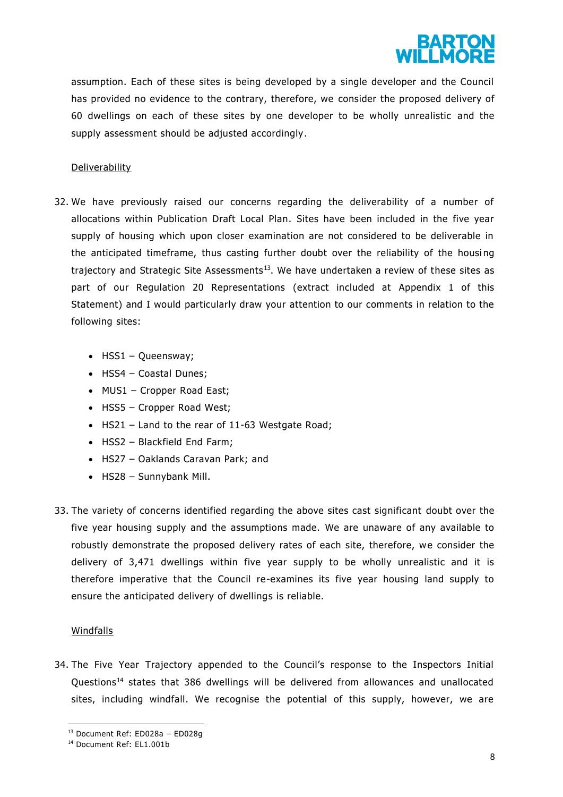

assumption. Each of these sites is being developed by a single developer and the Council has provided no evidence to the contrary, therefore, we consider the proposed delivery of 60 dwellings on each of these sites by one developer to be wholly unrealistic and the supply assessment should be adjusted accordingly.

### **Deliverability**

- 32. We have previously raised our concerns regarding the deliverability of a number of allocations within Publication Draft Local Plan. Sites have been included in the five year supply of housing which upon closer examination are not considered to be deliverable in the anticipated timeframe, thus casting further doubt over the reliability of the housing trajectory and Strategic Site Assessments<sup>13</sup>. We have undertaken a review of these sites as part of our Regulation 20 Representations (extract included at Appendix 1 of this Statement) and I would particularly draw your attention to our comments in relation to the following sites:
	- $\bullet$  HSS1 Queensway;
	- HSS4 Coastal Dunes;
	- MUS1 Cropper Road East;
	- HSS5 Cropper Road West;
	- HS21 Land to the rear of 11-63 Westgate Road;
	- HSS2 Blackfield End Farm;
	- HS27 Oaklands Caravan Park; and
	- HS28 Sunnybank Mill.
- 33. The variety of concerns identified regarding the above sites cast significant doubt over the five year housing supply and the assumptions made. We are unaware of any available to robustly demonstrate the proposed delivery rates of each site, therefore, we consider the delivery of 3,471 dwellings within five year supply to be wholly unrealistic and it is therefore imperative that the Council re-examines its five year housing land supply to ensure the anticipated delivery of dwellings is reliable.

#### Windfalls

 $\overline{a}$ 

34. The Five Year Trajectory appended to the Council's response to the Inspectors Initial Questions<sup>14</sup> states that 386 dwellings will be delivered from allowances and unallocated sites, including windfall. We recognise the potential of this supply, however, we are

<sup>13</sup> Document Ref: ED028a – ED028g

<sup>14</sup> Document Ref: EL1.001b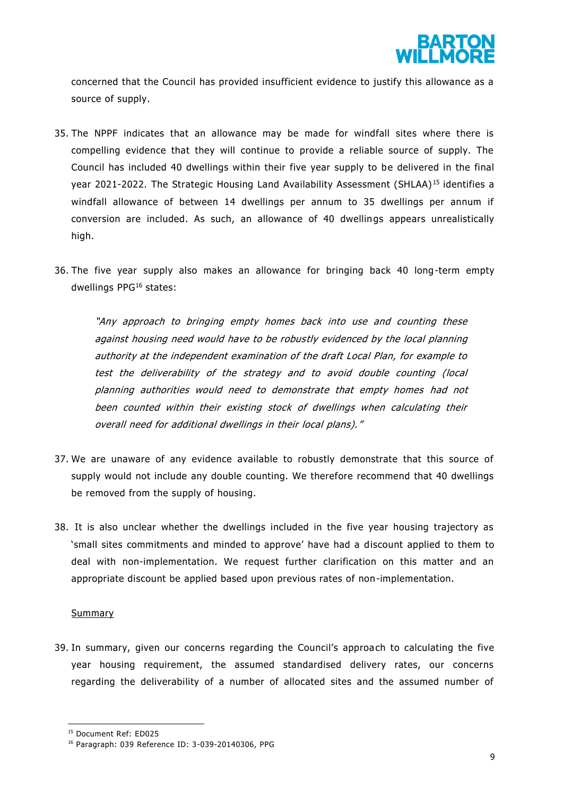

concerned that the Council has provided insufficient evidence to justify this allowance as a source of supply.

- 35. The NPPF indicates that an allowance may be made for windfall sites where there is compelling evidence that they will continue to provide a reliable source of supply. The Council has included 40 dwellings within their five year supply to be delivered in the final year 2021-2022. The Strategic Housing Land Availability Assessment (SHLAA)<sup>15</sup> identifies a windfall allowance of between 14 dwellings per annum to 35 dwellings per annum if conversion are included. As such, an allowance of 40 dwellings appears unrealistically high.
- 36. The five year supply also makes an allowance for bringing back 40 long-term empty dwellings PPG<sup>16</sup> states:

"Any approach to bringing empty homes back into use and counting these against housing need would have to be robustly evidenced by the local planning authority at the independent examination of the draft Local Plan, for example to test the deliverability of the strategy and to avoid double counting (local planning authorities would need to demonstrate that empty homes had not been counted within their existing stock of dwellings when calculating their overall need for additional dwellings in their local plans)."

- 37. We are unaware of any evidence available to robustly demonstrate that this source of supply would not include any double counting. We therefore recommend that 40 dwellings be removed from the supply of housing.
- 38. It is also unclear whether the dwellings included in the five year housing trajectory as 'small sites commitments and minded to approve' have had a discount applied to them to deal with non-implementation. We request further clarification on this matter and an appropriate discount be applied based upon previous rates of non-implementation.

#### Summary

 $\overline{a}$ 

39. In summary, given our concerns regarding the Council's approa ch to calculating the five year housing requirement, the assumed standardised delivery rates, our concerns regarding the deliverability of a number of allocated sites and the assumed number of

<sup>15</sup> Document Ref: ED025

<sup>16</sup> Paragraph: 039 Reference ID: 3-039-20140306, PPG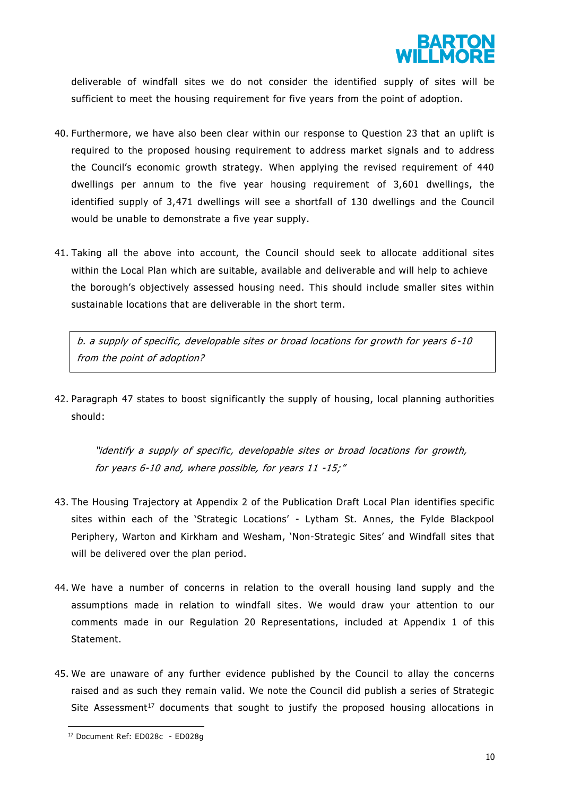

deliverable of windfall sites we do not consider the identified supply of sites will be sufficient to meet the housing requirement for five years from the point of adoption.

- 40. Furthermore, we have also been clear within our response to Question 23 that an uplift is required to the proposed housing requirement to address market signals and to address the Council's economic growth strategy. When applying the revised requirement of 440 dwellings per annum to the five year housing requirement of 3,601 dwellings, the identified supply of 3,471 dwellings will see a shortfall of 130 dwellings and the Council would be unable to demonstrate a five year supply.
- 41. Taking all the above into account, the Council should seek to allocate additional sites within the Local Plan which are suitable, available and deliverable and will help to achieve the borough's objectively assessed housing need. This should include smaller sites within sustainable locations that are deliverable in the short term.

b. a supply of specific, developable sites or broad locations for growth for years 6 -10 from the point of adoption?

42. Paragraph 47 states to boost significantly the supply of housing, local planning authorities should:

"identify a supply of specific, developable sites or broad locations for growth, for years 6-10 and, where possible, for years 11 -15;"

- 43. The Housing Trajectory at Appendix 2 of the Publication Draft Local Plan identifies specific sites within each of the 'Strategic Locations' - Lytham St. Annes, the Fylde Blackpool Periphery, Warton and Kirkham and Wesham, 'Non-Strategic Sites' and Windfall sites that will be delivered over the plan period.
- 44. We have a number of concerns in relation to the overall housing land supply and the assumptions made in relation to windfall sites. We would draw your attention to our comments made in our Regulation 20 Representations, included at Appendix 1 of this Statement.
- 45. We are unaware of any further evidence published by the Council to allay the concerns raised and as such they remain valid. We note the Council did publish a series of Strategic Site Assessment<sup>17</sup> documents that sought to justify the proposed housing allocations in

<sup>17</sup> Document Ref: ED028c - ED028g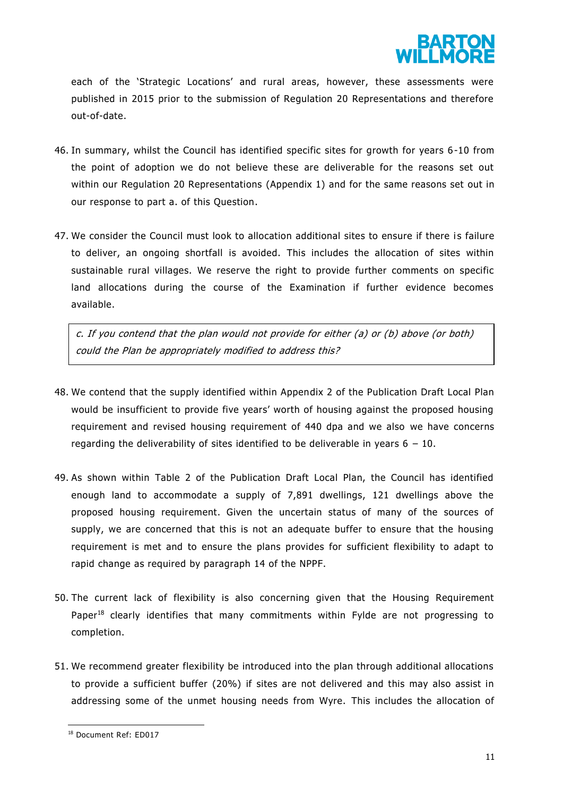

each of the 'Strategic Locations' and rural areas, however, these assessments were published in 2015 prior to the submission of Regulation 20 Representations and therefore out-of-date.

- 46. In summary, whilst the Council has identified specific sites for growth for years 6-10 from the point of adoption we do not believe these are deliverable for the reasons set out within our Regulation 20 Representations (Appendix 1) and for the same reasons set out in our response to part a. of this Question.
- 47. We consider the Council must look to allocation additional sites to ensure if there is failure to deliver, an ongoing shortfall is avoided. This includes the allocation of sites within sustainable rural villages. We reserve the right to provide further comments on specific land allocations during the course of the Examination if further evidence becomes available.

c. If you contend that the plan would not provide for either  $(a)$  or  $(b)$  above (or both) could the Plan be appropriately modified to address this?

- 48. We contend that the supply identified within Appendix 2 of the Publication Draft Local Plan would be insufficient to provide five years' worth of housing against the proposed housing requirement and revised housing requirement of 440 dpa and we also we have concerns regarding the deliverability of sites identified to be deliverable in years  $6 - 10$ .
- 49. As shown within Table 2 of the Publication Draft Local Plan, the Council has identified enough land to accommodate a supply of 7,891 dwellings, 121 dwellings above the proposed housing requirement. Given the uncertain status of many of the sources of supply, we are concerned that this is not an adequate buffer to ensure that the housing requirement is met and to ensure the plans provides for sufficient flexibility to adapt to rapid change as required by paragraph 14 of the NPPF.
- 50. The current lack of flexibility is also concerning given that the Housing Requirement Paper<sup>18</sup> clearly identifies that many commitments within Fylde are not progressing to completion.
- 51. We recommend greater flexibility be introduced into the plan through additional allocations to provide a sufficient buffer (20%) if sites are not delivered and this may also assist in addressing some of the unmet housing needs from Wyre. This includes the allocation of

<sup>18</sup> Document Ref: ED017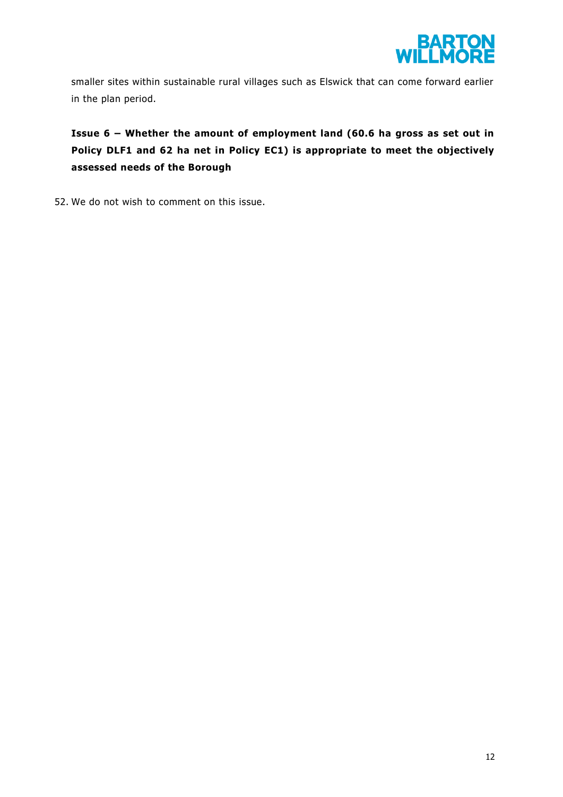

smaller sites within sustainable rural villages such as Elswick that can come forward earlier in the plan period.

**Issue 6 – Whether the amount of employment land (60.6 ha gross as set out in Policy DLF1 and 62 ha net in Policy EC1) is appropriate to meet the objectively assessed needs of the Borough** 

52. We do not wish to comment on this issue.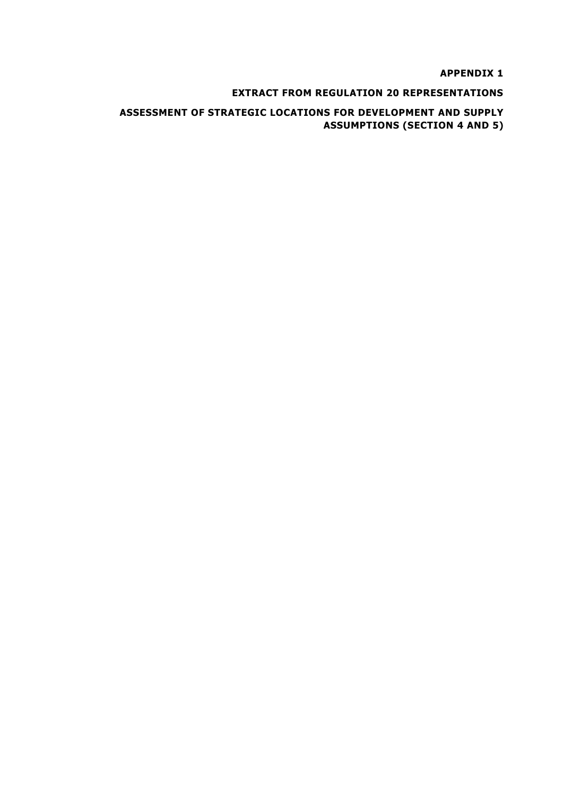**APPENDIX 1** 

## **EXTRACT FROM REGULATION 20 REPRESENTATIONS**

# **ASSESSMENT OF STRATEGIC LOCATIONS FOR DEVELOPMENT AND SUPPLY ASSUMPTIONS (SECTION 4 AND 5)**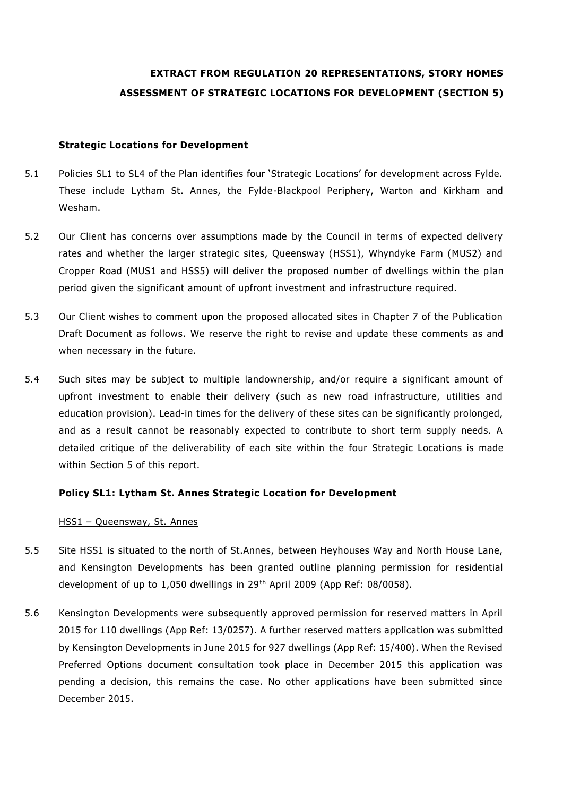# **EXTRACT FROM REGULATION 20 REPRESENTATIONS, STORY HOMES ASSESSMENT OF STRATEGIC LOCATIONS FOR DEVELOPMENT (SECTION 5)**

#### **Strategic Locations for Development**

- 5.1 Policies SL1 to SL4 of the Plan identifies four 'Strategic Locations' for development across Fylde. These include Lytham St. Annes, the Fylde-Blackpool Periphery, Warton and Kirkham and Wesham.
- 5.2 Our Client has concerns over assumptions made by the Council in terms of expected delivery rates and whether the larger strategic sites, Queensway (HSS1), Whyndyke Farm (MUS2) and Cropper Road (MUS1 and HSS5) will deliver the proposed number of dwellings within the plan period given the significant amount of upfront investment and infrastructure required.
- 5.3 Our Client wishes to comment upon the proposed allocated sites in Chapter 7 of the Publication Draft Document as follows. We reserve the right to revise and update these comments as and when necessary in the future.
- 5.4 Such sites may be subject to multiple landownership, and/or require a significant amount of upfront investment to enable their delivery (such as new road infrastructure, utilities and education provision). Lead-in times for the delivery of these sites can be significantly prolonged, and as a result cannot be reasonably expected to contribute to short term supply needs. A detailed critique of the deliverability of each site within the four Strategic Locations is made within Section 5 of this report.

# **Policy SL1: Lytham St. Annes Strategic Location for Development**

#### HSS1 – Queensway, St. Annes

- 5.5 Site HSS1 is situated to the north of St.Annes, between Heyhouses Way and North House Lane, and Kensington Developments has been granted outline planning permission for residential development of up to 1,050 dwellings in 29th April 2009 (App Ref: 08/0058).
- 5.6 Kensington Developments were subsequently approved permission for reserved matters in April 2015 for 110 dwellings (App Ref: 13/0257). A further reserved matters application was submitted by Kensington Developments in June 2015 for 927 dwellings (App Ref: 15/400). When the Revised Preferred Options document consultation took place in December 2015 this application was pending a decision, this remains the case. No other applications have been submitted since December 2015.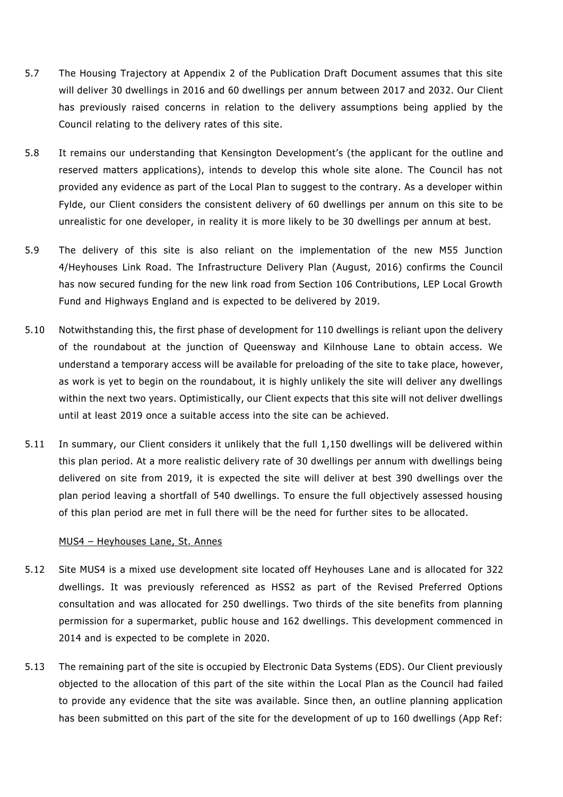- 5.7 The Housing Trajectory at Appendix 2 of the Publication Draft Document assumes that this site will deliver 30 dwellings in 2016 and 60 dwellings per annum between 2017 and 2032. Our Client has previously raised concerns in relation to the delivery assumptions being applied by the Council relating to the delivery rates of this site.
- 5.8 It remains our understanding that Kensington Development's (the applicant for the outline and reserved matters applications), intends to develop this whole site alone. The Council has not provided any evidence as part of the Local Plan to suggest to the contrary. As a developer within Fylde, our Client considers the consistent delivery of 60 dwellings per annum on this site to be unrealistic for one developer, in reality it is more likely to be 30 dwellings per annum at best.
- 5.9 The delivery of this site is also reliant on the implementation of the new M55 Junction 4/Heyhouses Link Road. The Infrastructure Delivery Plan (August, 2016) confirms the Council has now secured funding for the new link road from Section 106 Contributions, LEP Local Growth Fund and Highways England and is expected to be delivered by 2019.
- 5.10 Notwithstanding this, the first phase of development for 110 dwellings is reliant upon the delivery of the roundabout at the junction of Queensway and Kilnhouse Lane to obtain access. We understand a temporary access will be available for preloading of the site to take place, however, as work is yet to begin on the roundabout, it is highly unlikely the site will deliver any dwellings within the next two years. Optimistically, our Client expects that this site will not deliver dwellings until at least 2019 once a suitable access into the site can be achieved.
- 5.11 In summary, our Client considers it unlikely that the full 1,150 dwellings will be delivered within this plan period. At a more realistic delivery rate of 30 dwellings per annum with dwellings being delivered on site from 2019, it is expected the site will deliver at best 390 dwellings over the plan period leaving a shortfall of 540 dwellings. To ensure the full objectively assessed housing of this plan period are met in full there will be the need for further sites to be allocated.

#### MUS4 – Heyhouses Lane, St. Annes

- 5.12 Site MUS4 is a mixed use development site located off Heyhouses Lane and is allocated for 322 dwellings. It was previously referenced as HSS2 as part of the Revised Preferred Options consultation and was allocated for 250 dwellings. Two thirds of the site benefits from planning permission for a supermarket, public house and 162 dwellings. This development commenced in 2014 and is expected to be complete in 2020.
- 5.13 The remaining part of the site is occupied by Electronic Data Systems (EDS). Our Client previously objected to the allocation of this part of the site within the Local Plan as the Council had failed to provide any evidence that the site was available. Since then, an outline planning application has been submitted on this part of the site for the development of up to 160 dwellings (App Ref: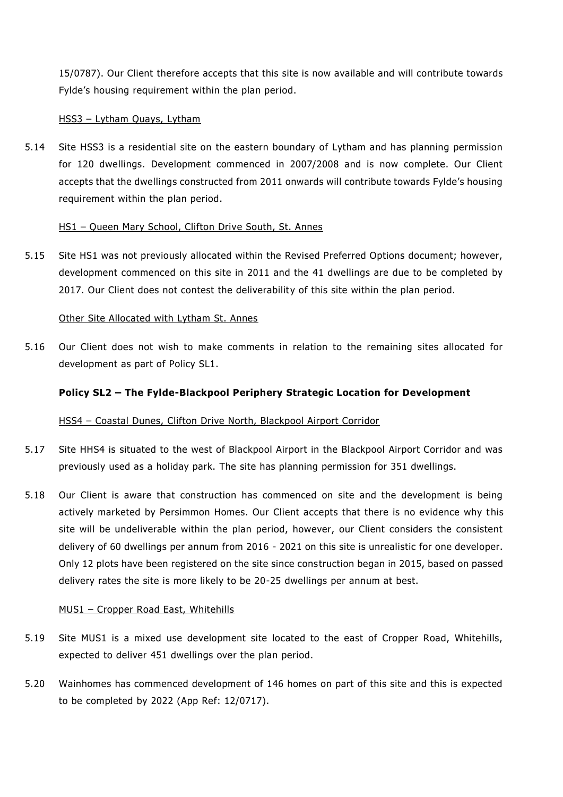15/0787). Our Client therefore accepts that this site is now available and will contribute towards Fylde's housing requirement within the plan period.

## HSS3 – Lytham Quays, Lytham

5.14 Site HSS3 is a residential site on the eastern boundary of Lytham and has planning permission for 120 dwellings. Development commenced in 2007/2008 and is now complete. Our Client accepts that the dwellings constructed from 2011 onwards will contribute towards Fylde's housing requirement within the plan period.

## HS1 – Queen Mary School, Clifton Drive South, St. Annes

5.15 Site HS1 was not previously allocated within the Revised Preferred Options document; however, development commenced on this site in 2011 and the 41 dwellings are due to be completed by 2017. Our Client does not contest the deliverability of this site within the plan period.

#### Other Site Allocated with Lytham St. Annes

5.16 Our Client does not wish to make comments in relation to the remaining sites allocated for development as part of Policy SL1.

# **Policy SL2 – The Fylde-Blackpool Periphery Strategic Location for Development**

# HSS4 – Coastal Dunes, Clifton Drive North, Blackpool Airport Corridor

- 5.17 Site HHS4 is situated to the west of Blackpool Airport in the Blackpool Airport Corridor and was previously used as a holiday park. The site has planning permission for 351 dwellings.
- 5.18 Our Client is aware that construction has commenced on site and the development is being actively marketed by Persimmon Homes. Our Client accepts that there is no evidence why this site will be undeliverable within the plan period, however, our Client considers the consistent delivery of 60 dwellings per annum from 2016 - 2021 on this site is unrealistic for one developer. Only 12 plots have been registered on the site since construction began in 2015, based on passed delivery rates the site is more likely to be 20-25 dwellings per annum at best.

#### MUS1 – Cropper Road East, Whitehills

- 5.19 Site MUS1 is a mixed use development site located to the east of Cropper Road, Whitehills, expected to deliver 451 dwellings over the plan period.
- 5.20 Wainhomes has commenced development of 146 homes on part of this site and this is expected to be completed by 2022 (App Ref: 12/0717).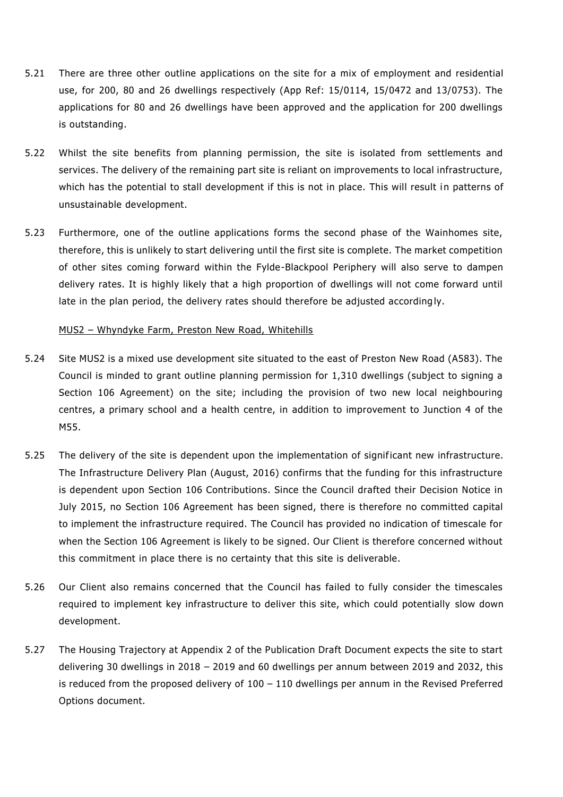- 5.21 There are three other outline applications on the site for a mix of employment and residential use, for 200, 80 and 26 dwellings respectively (App Ref: 15/0114, 15/0472 and 13/0753). The applications for 80 and 26 dwellings have been approved and the application for 200 dwellings is outstanding.
- 5.22 Whilst the site benefits from planning permission, the site is isolated from settlements and services. The delivery of the remaining part site is reliant on improvements to local infrastructure, which has the potential to stall development if this is not in place. This will result in patterns of unsustainable development.
- 5.23 Furthermore, one of the outline applications forms the second phase of the Wainhomes site, therefore, this is unlikely to start delivering until the first site is complete. The market competition of other sites coming forward within the Fylde-Blackpool Periphery will also serve to dampen delivery rates. It is highly likely that a high proportion of dwellings will not come forward until late in the plan period, the delivery rates should therefore be adjusted accordingly.

#### MUS2 – Whyndyke Farm, Preston New Road, Whitehills

- 5.24 Site MUS2 is a mixed use development site situated to the east of Preston New Road (A583). The Council is minded to grant outline planning permission for 1,310 dwellings (subject to signing a Section 106 Agreement) on the site; including the provision of two new local neighbouring centres, a primary school and a health centre, in addition to improvement to Junction 4 of the M55.
- 5.25 The delivery of the site is dependent upon the implementation of significant new infrastructure. The Infrastructure Delivery Plan (August, 2016) confirms that the funding for this infrastructure is dependent upon Section 106 Contributions. Since the Council drafted their Decision Notice in July 2015, no Section 106 Agreement has been signed, there is therefore no committed capital to implement the infrastructure required. The Council has provided no indication of timescale for when the Section 106 Agreement is likely to be signed. Our Client is therefore concerned without this commitment in place there is no certainty that this site is deliverable.
- 5.26 Our Client also remains concerned that the Council has failed to fully consider the timescales required to implement key infrastructure to deliver this site, which could potentially slow down development.
- 5.27 The Housing Trajectory at Appendix 2 of the Publication Draft Document expects the site to start delivering 30 dwellings in 2018 – 2019 and 60 dwellings per annum between 2019 and 2032, this is reduced from the proposed delivery of 100 – 110 dwellings per annum in the Revised Preferred Options document.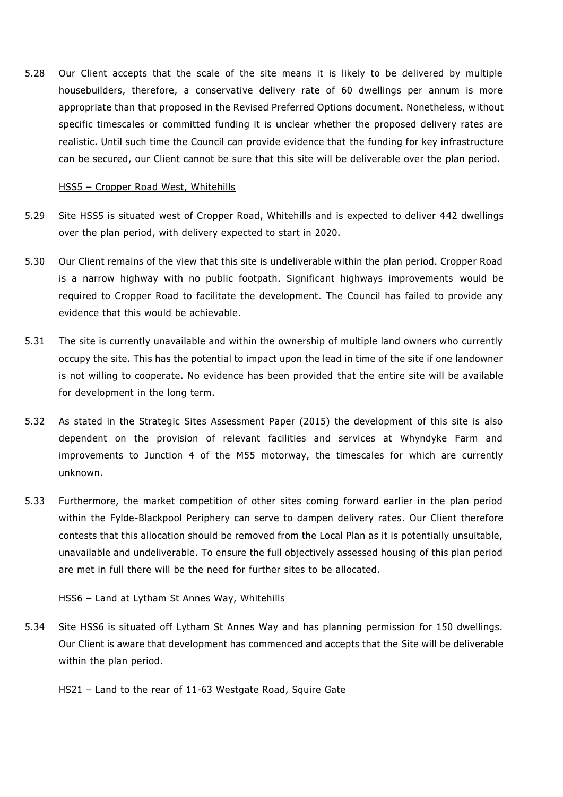5.28 Our Client accepts that the scale of the site means it is likely to be delivered by multiple housebuilders, therefore, a conservative delivery rate of 60 dwellings per annum is more appropriate than that proposed in the Revised Preferred Options document. Nonetheless, without specific timescales or committed funding it is unclear whether the proposed delivery rates are realistic. Until such time the Council can provide evidence that the funding for key infrastructure can be secured, our Client cannot be sure that this site will be deliverable over the plan period.

### HSS5 - Cropper Road West, Whitehills

- 5.29 Site HSS5 is situated west of Cropper Road, Whitehills and is expected to deliver 442 dwellings over the plan period, with delivery expected to start in 2020.
- 5.30 Our Client remains of the view that this site is undeliverable within the plan period. Cropper Road is a narrow highway with no public footpath. Significant highways improvements would be required to Cropper Road to facilitate the development. The Council has failed to provide any evidence that this would be achievable.
- 5.31 The site is currently unavailable and within the ownership of multiple land owners who currently occupy the site. This has the potential to impact upon the lead in time of the site if one landowner is not willing to cooperate. No evidence has been provided that the entire site will be available for development in the long term.
- 5.32 As stated in the Strategic Sites Assessment Paper (2015) the development of this site is also dependent on the provision of relevant facilities and services at Whyndyke Farm and improvements to Junction 4 of the M55 motorway, the timescales for which are currently unknown.
- 5.33 Furthermore, the market competition of other sites coming forward earlier in the plan period within the Fylde-Blackpool Periphery can serve to dampen delivery rates. Our Client therefore contests that this allocation should be removed from the Local Plan as it is potentially unsuitable, unavailable and undeliverable. To ensure the full objectively assessed housing of this plan period are met in full there will be the need for further sites to be allocated.

# HSS6 – Land at Lytham St Annes Way, Whitehills

5.34 Site HSS6 is situated off Lytham St Annes Way and has planning permission for 150 dwellings. Our Client is aware that development has commenced and accepts that the Site will be deliverable within the plan period.

# HS21 – Land to the rear of 11-63 Westgate Road, Squire Gate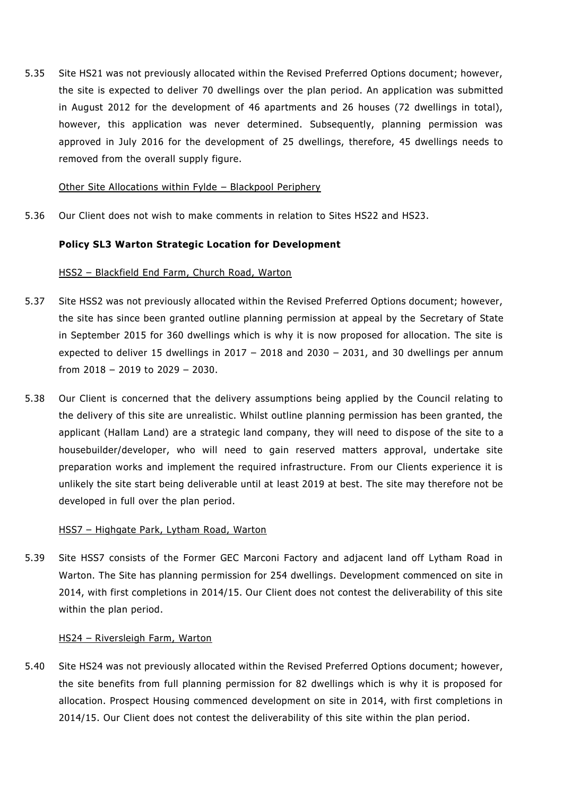5.35 Site HS21 was not previously allocated within the Revised Preferred Options document; however, the site is expected to deliver 70 dwellings over the plan period. An application was submitted in August 2012 for the development of 46 apartments and 26 houses (72 dwellings in total), however, this application was never determined. Subsequently, planning permission was approved in July 2016 for the development of 25 dwellings, therefore, 45 dwellings needs to removed from the overall supply figure.

#### Other Site Allocations within Fylde – Blackpool Periphery

5.36 Our Client does not wish to make comments in relation to Sites HS22 and HS23.

### **Policy SL3 Warton Strategic Location for Development**

#### HSS2 – Blackfield End Farm, Church Road, Warton

- 5.37 Site HSS2 was not previously allocated within the Revised Preferred Options document; however, the site has since been granted outline planning permission at appeal by the Secretary of State in September 2015 for 360 dwellings which is why it is now proposed for allocation. The site is expected to deliver 15 dwellings in 2017 – 2018 and 2030 – 2031, and 30 dwellings per annum from 2018 – 2019 to 2029 – 2030.
- 5.38 Our Client is concerned that the delivery assumptions being applied by the Council relating to the delivery of this site are unrealistic. Whilst outline planning permission has been granted, the applicant (Hallam Land) are a strategic land company, they will need to dispose of the site to a housebuilder/developer, who will need to gain reserved matters approval, undertake site preparation works and implement the required infrastructure. From our Clients experience it is unlikely the site start being deliverable until at least 2019 at best. The site may therefore not be developed in full over the plan period.

#### HSS7 – Highgate Park, Lytham Road, Warton

5.39 Site HSS7 consists of the Former GEC Marconi Factory and adjacent land off Lytham Road in Warton. The Site has planning permission for 254 dwellings. Development commenced on site in 2014, with first completions in 2014/15. Our Client does not contest the deliverability of this site within the plan period.

#### HS24 – Riversleigh Farm, Warton

5.40 Site HS24 was not previously allocated within the Revised Preferred Options document; however, the site benefits from full planning permission for 82 dwellings which is why it is proposed for allocation. Prospect Housing commenced development on site in 2014, with first completions in 2014/15. Our Client does not contest the deliverability of this site within the plan period.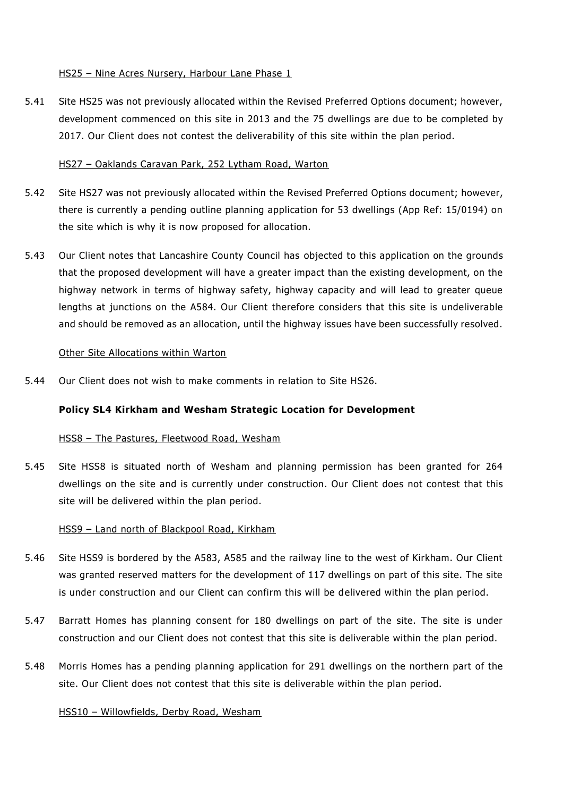### HS25 - Nine Acres Nursery, Harbour Lane Phase 1

5.41 Site HS25 was not previously allocated within the Revised Preferred Options document; however, development commenced on this site in 2013 and the 75 dwellings are due to be completed by 2017. Our Client does not contest the deliverability of this site within the plan period.

### HS27 – Oaklands Caravan Park, 252 Lytham Road, Warton

- 5.42 Site HS27 was not previously allocated within the Revised Preferred Options document; however, there is currently a pending outline planning application for 53 dwellings (App Ref: 15/0194) on the site which is why it is now proposed for allocation.
- 5.43 Our Client notes that Lancashire County Council has objected to this application on the grounds that the proposed development will have a greater impact than the existing development, on the highway network in terms of highway safety, highway capacity and will lead to greater queue lengths at junctions on the A584. Our Client therefore considers that this site is undeliverable and should be removed as an allocation, until the highway issues have been successfully resolved.

#### Other Site Allocations within Warton

5.44 Our Client does not wish to make comments in relation to Site HS26.

#### **Policy SL4 Kirkham and Wesham Strategic Location for Development**

#### HSS8 – The Pastures, Fleetwood Road, Wesham

5.45 Site HSS8 is situated north of Wesham and planning permission has been granted for 264 dwellings on the site and is currently under construction. Our Client does not contest that this site will be delivered within the plan period.

#### HSS9 - Land north of Blackpool Road, Kirkham

- 5.46 Site HSS9 is bordered by the A583, A585 and the railway line to the west of Kirkham. Our Client was granted reserved matters for the development of 117 dwellings on part of this site. The site is under construction and our Client can confirm this will be delivered within the plan period.
- 5.47 Barratt Homes has planning consent for 180 dwellings on part of the site. The site is under construction and our Client does not contest that this site is deliverable within the plan period.
- 5.48 Morris Homes has a pending planning application for 291 dwellings on the northern part of the site. Our Client does not contest that this site is deliverable within the plan period.

#### HSS10 – Willowfields, Derby Road, Wesham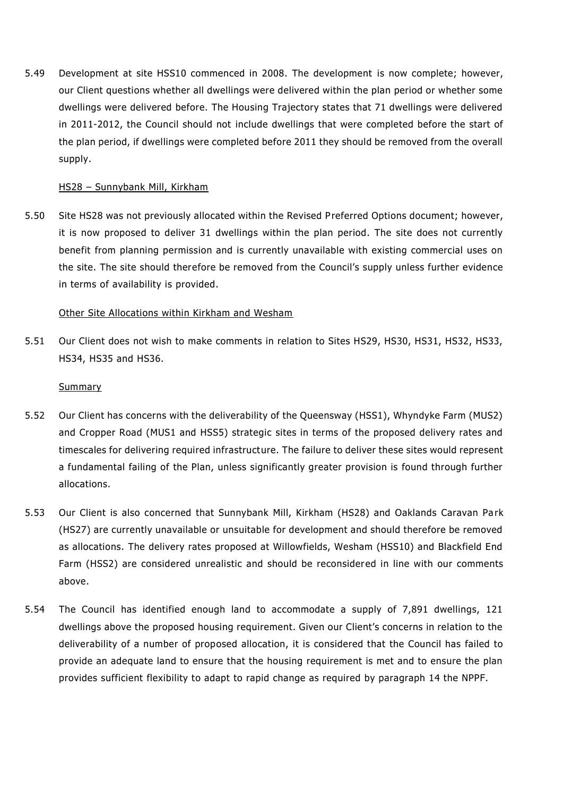5.49 Development at site HSS10 commenced in 2008. The development is now complete; however, our Client questions whether all dwellings were delivered within the plan period or whether some dwellings were delivered before. The Housing Trajectory states that 71 dwellings were delivered in 2011-2012, the Council should not include dwellings that were completed before the start of the plan period, if dwellings were completed before 2011 they should be removed from the overall supply.

### HS28 – Sunnybank Mill, Kirkham

5.50 Site HS28 was not previously allocated within the Revised Preferred Options document; however, it is now proposed to deliver 31 dwellings within the plan period. The site does not currently benefit from planning permission and is currently unavailable with existing commercial uses on the site. The site should therefore be removed from the Council's supply unless further evidence in terms of availability is provided.

### Other Site Allocations within Kirkham and Wesham

5.51 Our Client does not wish to make comments in relation to Sites HS29, HS30, HS31, HS32, HS33, HS34, HS35 and HS36.

#### **Summary**

- 5.52 Our Client has concerns with the deliverability of the Queensway (HSS1), Whyndyke Farm (MUS2) and Cropper Road (MUS1 and HSS5) strategic sites in terms of the proposed delivery rates and timescales for delivering required infrastructure. The failure to deliver these sites would represent a fundamental failing of the Plan, unless significantly greater provision is found through further allocations.
- 5.53 Our Client is also concerned that Sunnybank Mill, Kirkham (HS28) and Oaklands Caravan Pa rk (HS27) are currently unavailable or unsuitable for development and should therefore be removed as allocations. The delivery rates proposed at Willowfields, Wesham (HSS10) and Blackfield End Farm (HSS2) are considered unrealistic and should be reconsidered in line with our comments above.
- 5.54 The Council has identified enough land to accommodate a supply of 7,891 dwellings, 121 dwellings above the proposed housing requirement. Given our Client's concerns in relation to the deliverability of a number of proposed allocation, it is considered that the Council has failed to provide an adequate land to ensure that the housing requirement is met and to ensure the plan provides sufficient flexibility to adapt to rapid change as required by paragraph 14 the NPPF.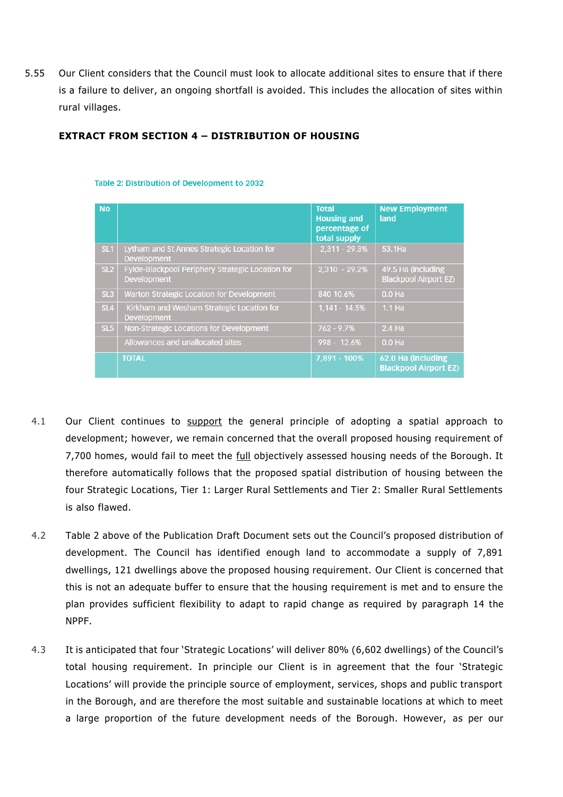5.55 Our Client considers that the Council must look to allocate additional sites to ensure that if there is a failure to deliver, an ongoing shortfall is avoided. This includes the allocation of sites within rural villages.

# **EXTRACT FROM SECTION 4 – DISTRIBUTION OF HOUSING**

| <b>No</b>       |                                                                        | <b>Total</b><br><b>Housing and</b><br>percentage of<br>total supply | <b>New Employment</b><br>land                      |
|-----------------|------------------------------------------------------------------------|---------------------------------------------------------------------|----------------------------------------------------|
| SL <sub>1</sub> | Lytham and St Annes Strategic Location for<br><b>Development</b>       | $2,311 - 29.3%$                                                     | 53.1Ha                                             |
| SL <sub>2</sub> | Fylde-Blackpool Periphery Strategic Location for<br><b>Development</b> | $2,310 - 29.2\%$                                                    | 49.5 Ha (including<br><b>Blackpool Airport EZ)</b> |
| SL <sub>3</sub> | Warton Strategic Location for Development                              | 840 10.6%                                                           | 0.0 <sub>Ha</sub>                                  |
| SL <sub>4</sub> | Kirkham and Wesham Strategic Location for<br><b>Development</b>        | $1,141 - 14.5%$                                                     | $1.1$ Ha                                           |
| SL <sub>5</sub> | Non-Strategic Locations for Development                                | $762 - 9.7%$                                                        | 2.4 Ha                                             |
|                 | Allowances and unallocated sites                                       | 998 - 12.6%                                                         | $0.0$ Ha                                           |
|                 | <b>TOTAL</b>                                                           | 7,891 - 100%                                                        | 62.0 Ha (including<br><b>Blackpool Airport EZ)</b> |

#### Table 2: Distribution of Development to 2032

- 4.1 Our Client continues to support the general principle of adopting a spatial approach to development; however, we remain concerned that the overall proposed housing requirement of 7,700 homes, would fail to meet the full objectively assessed housing needs of the Borough. It therefore automatically follows that the proposed spatial distribution of housing between the four Strategic Locations, Tier 1: Larger Rural Settlements and Tier 2: Smaller Rural Settlements is also flawed.
- 4.2 Table 2 above of the Publication Draft Document sets out the Council's proposed distribution of development. The Council has identified enough land to accommodate a supply of 7,891 dwellings, 121 dwellings above the proposed housing requirement. Our Client is concerned that this is not an adequate buffer to ensure that the housing requirement is met and to ensure the plan provides sufficient flexibility to adapt to rapid change as required by paragraph 14 the NPPF.
- 4.3 It is anticipated that four 'Strategic Locations' will deliver 80% (6,602 dwellings) of the Council's total housing requirement. In principle our Client is in agreement that the four 'Strategic Locations' will provide the principle source of employment, services, shops and public transport in the Borough, and are therefore the most suitable and sustainable locations at which to meet a large proportion of the future development needs of the Borough. However, as per our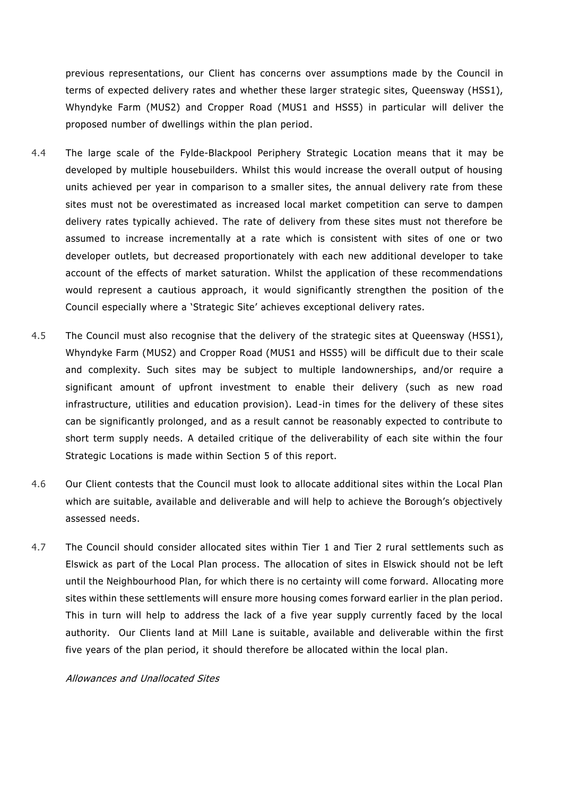previous representations, our Client has concerns over assumptions made by the Council in terms of expected delivery rates and whether these larger strategic sites, Queensway (HSS1), Whyndyke Farm (MUS2) and Cropper Road (MUS1 and HSS5) in particular will deliver the proposed number of dwellings within the plan period.

- 4.4 The large scale of the Fylde-Blackpool Periphery Strategic Location means that it may be developed by multiple housebuilders. Whilst this would increase the overall output of housing units achieved per year in comparison to a smaller sites, the annual delivery rate from these sites must not be overestimated as increased local market competition can serve to dampen delivery rates typically achieved. The rate of delivery from these sites must not therefore be assumed to increase incrementally at a rate which is consistent with sites of one or two developer outlets, but decreased proportionately with each new additional developer to take account of the effects of market saturation. Whilst the application of these recommendations would represent a cautious approach, it would significantly strengthen the position of the Council especially where a 'Strategic Site' achieves exceptional delivery rates.
- 4.5 The Council must also recognise that the delivery of the strategic sites at Queensway (HSS1), Whyndyke Farm (MUS2) and Cropper Road (MUS1 and HSS5) will be difficult due to their scale and complexity. Such sites may be subject to multiple landownerships, and/or require a significant amount of upfront investment to enable their delivery (such as new road infrastructure, utilities and education provision). Lead-in times for the delivery of these sites can be significantly prolonged, and as a result cannot be reasonably expected to contribute to short term supply needs. A detailed critique of the deliverability of each site within the four Strategic Locations is made within Section 5 of this report.
- 4.6 Our Client contests that the Council must look to allocate additional sites within the Local Plan which are suitable, available and deliverable and will help to achieve the Borough's objectively assessed needs.
- 4.7 The Council should consider allocated sites within Tier 1 and Tier 2 rural settlements such as Elswick as part of the Local Plan process. The allocation of sites in Elswick should not be left until the Neighbourhood Plan, for which there is no certainty will come forward. Allocating more sites within these settlements will ensure more housing comes forward earlier in the plan period. This in turn will help to address the lack of a five year supply currently faced by the local authority. Our Clients land at Mill Lane is suitable, available and deliverable within the first five years of the plan period, it should therefore be allocated within the local plan.

#### Allowances and Unallocated Sites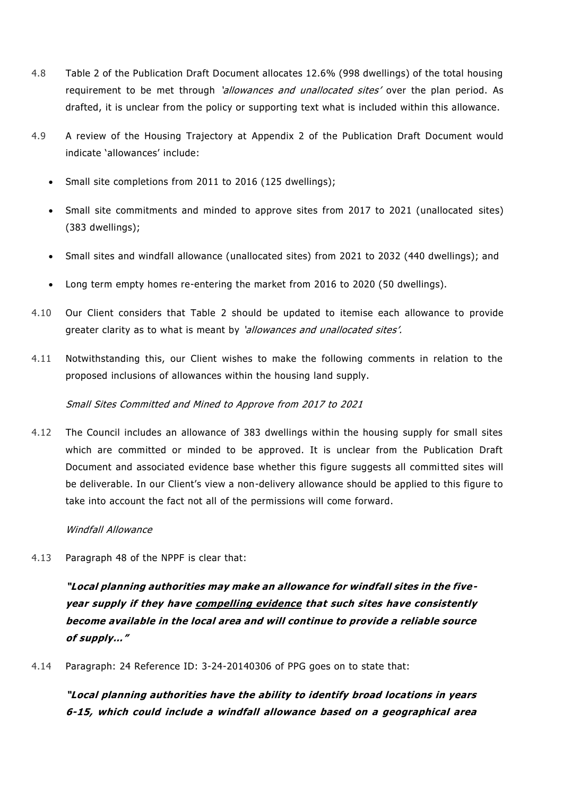- 4.8 Table 2 of the Publication Draft Document allocates 12.6% (998 dwellings) of the total housing requirement to be met through *'allowances and unallocated sites'* over the plan period. As drafted, it is unclear from the policy or supporting text what is included within this allowance.
- 4.9 A review of the Housing Trajectory at Appendix 2 of the Publication Draft Document would indicate 'allowances' include:
	- Small site completions from 2011 to 2016 (125 dwellings);
	- Small site commitments and minded to approve sites from 2017 to 2021 (unallocated sites) (383 dwellings);
	- Small sites and windfall allowance (unallocated sites) from 2021 to 2032 (440 dwellings); and
	- Long term empty homes re-entering the market from 2016 to 2020 (50 dwellings).
- 4.10 Our Client considers that Table 2 should be updated to itemise each allowance to provide greater clarity as to what is meant by 'allowances and unallocated sites'.
- 4.11 Notwithstanding this, our Client wishes to make the following comments in relation to the proposed inclusions of allowances within the housing land supply.

# Small Sites Committed and Mined to Approve from 2017 to 2021

4.12 The Council includes an allowance of 383 dwellings within the housing supply for small sites which are committed or minded to be approved. It is unclear from the Publication Draft Document and associated evidence base whether this figure suggests all committed sites will be deliverable. In our Client's view a non-delivery allowance should be applied to this figure to take into account the fact not all of the permissions will come forward.

# Windfall Allowance

4.13 Paragraph 48 of the NPPF is clear that:

**"Local planning authorities may make an allowance for windfall sites in the fiveyear supply if they have compelling evidence that such sites have consistently become available in the local area and will continue to provide a reliable source of supply…"**

4.14 Paragraph: 24 Reference ID: 3-24-20140306 of PPG goes on to state that:

**"Local planning authorities have the ability to identify broad locations in years 6-15, which could include a windfall allowance based on a geographical area**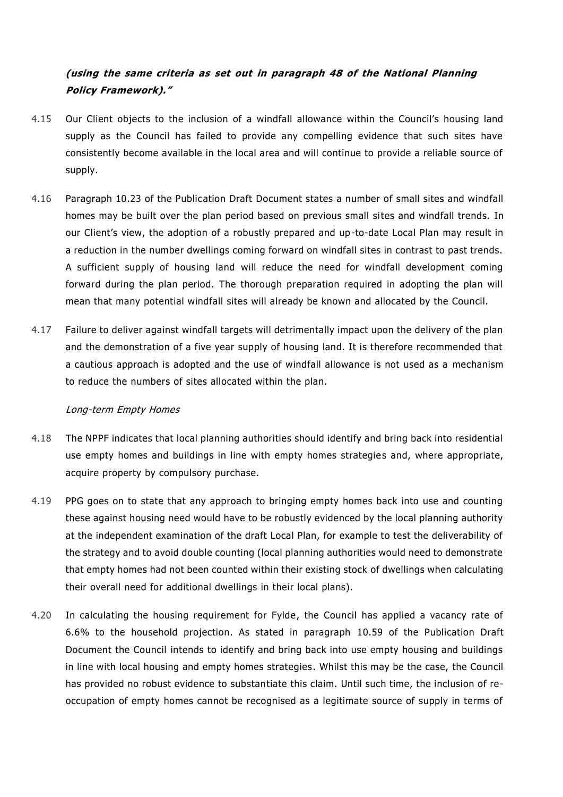# **(using the same criteria as set out in paragraph 48 of the National Planning Policy Framework)."**

- 4.15 Our Client objects to the inclusion of a windfall allowance within the Council's housing land supply as the Council has failed to provide any compelling evidence that such sites have consistently become available in the local area and will continue to provide a reliable source of supply.
- 4.16 Paragraph 10.23 of the Publication Draft Document states a number of small sites and windfall homes may be built over the plan period based on previous small sites and windfall trends. In our Client's view, the adoption of a robustly prepared and up-to-date Local Plan may result in a reduction in the number dwellings coming forward on windfall sites in contrast to past trends. A sufficient supply of housing land will reduce the need for windfall development coming forward during the plan period. The thorough preparation required in adopting the plan will mean that many potential windfall sites will already be known and allocated by the Council.
- 4.17 Failure to deliver against windfall targets will detrimentally impact upon the delivery of the plan and the demonstration of a five year supply of housing land. It is therefore recommended that a cautious approach is adopted and the use of windfall allowance is not used as a mechanism to reduce the numbers of sites allocated within the plan.

# Long-term Empty Homes

- 4.18 The NPPF indicates that local planning authorities should identify and bring back into residential use empty homes and buildings in line with empty homes strategies and, where appropriate, acquire property by compulsory purchase.
- 4.19 PPG goes on to state that any approach to bringing empty homes back into use and counting these against housing need would have to be robustly evidenced by the local planning authority at the independent examination of the draft Local Plan, for example to test the deliverability of the strategy and to avoid double counting (local planning authorities would need to demonstrate that empty homes had not been counted within their existing stock of dwellings when calculating their overall need for additional dwellings in their local plans).
- 4.20 In calculating the housing requirement for Fylde, the Council has applied a vacancy rate of 6.6% to the household projection. As stated in paragraph 10.59 of the Publication Draft Document the Council intends to identify and bring back into use empty housing and buildings in line with local housing and empty homes strategies . Whilst this may be the case, the Council has provided no robust evidence to substantiate this claim. Until such time, the inclusion of reoccupation of empty homes cannot be recognised as a legitimate source of supply in terms of